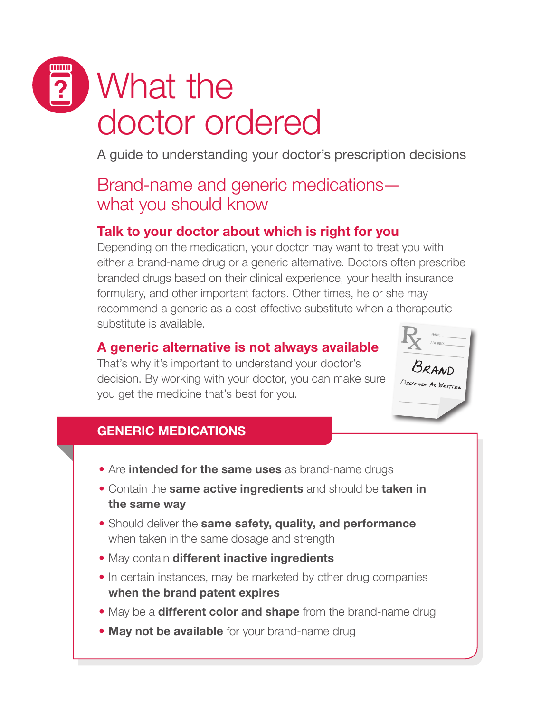# What the doctor ordered

A guide to understanding your doctor's prescription decisions

## Brand-name and generic medications what you should know

### Talk to your doctor about which is right for you

Depending on the medication, your doctor may want to treat you with either a brand-name drug or a generic alternative. Doctors often prescribe branded drugs based on their clinical experience, your health insurance formulary, and other important factors. Other times, he or she may recommend a generic as a cost-effective substitute when a therapeutic substitute is available.

#### A generic alternative is not always available

That's why it's important to understand your doctor's decision. By working with your doctor, you can make sure you get the medicine that's best for you.



#### GENERIC MEDICATIONS

- Are intended for the same uses as brand-name drugs
- Contain the same active ingredients and should be taken in the same way
- **Should deliver the same safety, quality, and performance** when taken in the same dosage and strength
- May contain different inactive ingredients
- In certain instances, may be marketed by other drug companies when the brand patent expires
- May be a **different color and shape** from the brand-name drug
- May not be available for your brand-name drug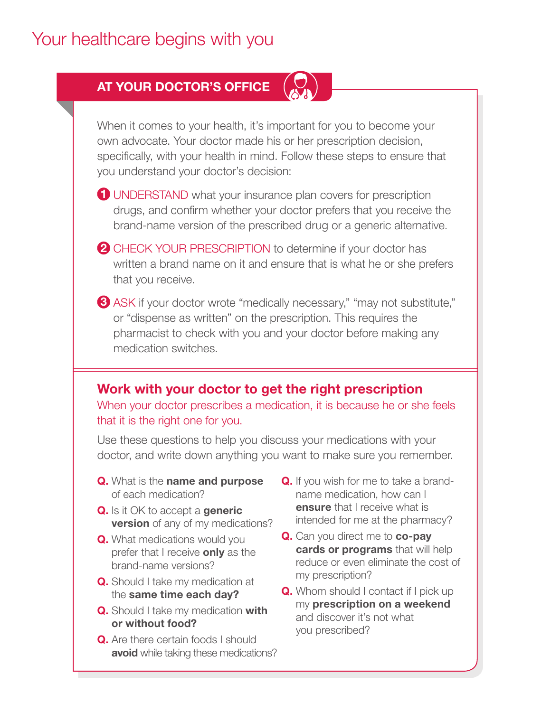## Your healthcare begins with you